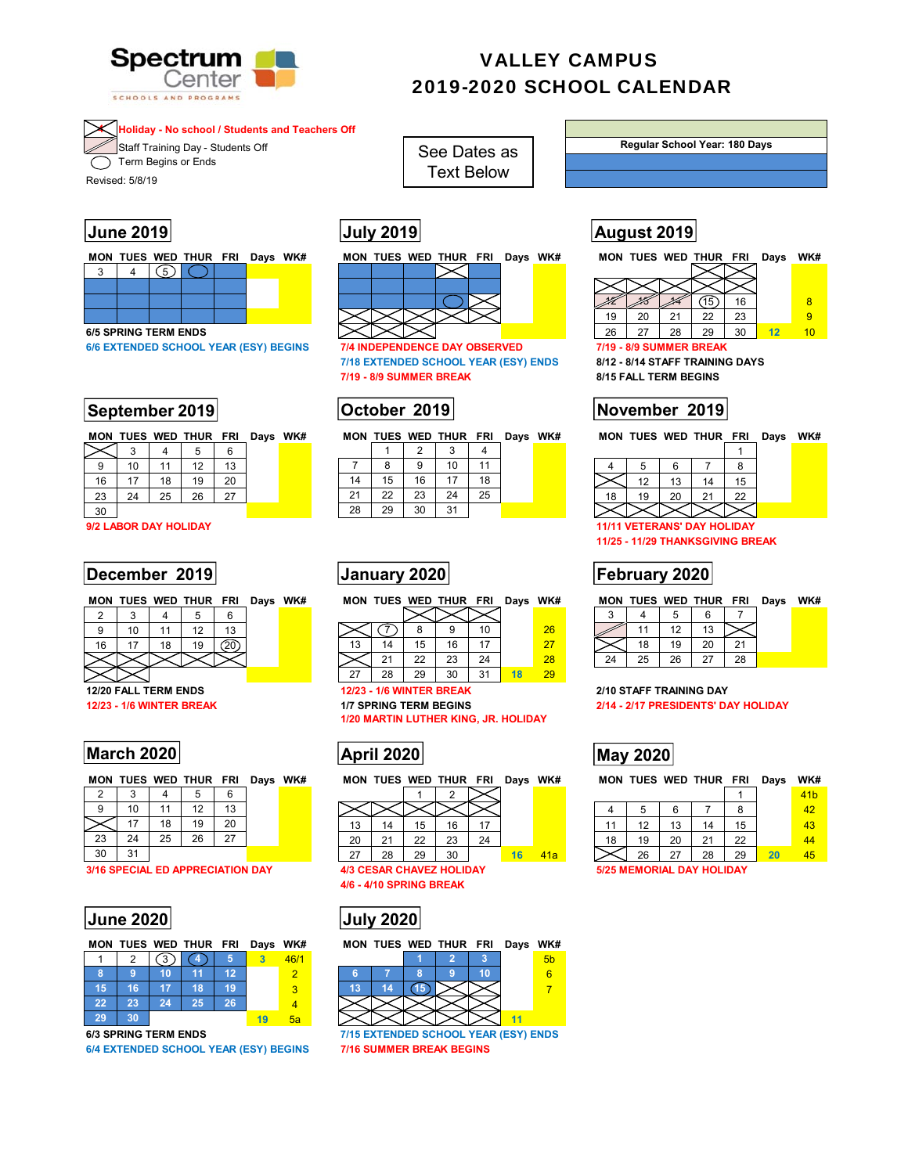

# VALLEY CAMPUS 2019-2020 SCHOOL CALENDAR

**Holiday - No school / Students and Teachers Off**

Staff Training Day - Students Off  $\overline{\phantom{a}}$  Term Begins or Ends

Text Below<br>Revised: 5/8/19

|  |   | MON TUES WED THUR FRI Days WK# |  |  |
|--|---|--------------------------------|--|--|
|  | 5 |                                |  |  |
|  |   |                                |  |  |
|  |   |                                |  |  |
|  |   |                                |  |  |

**6/6 EXTENDED SCHOOL YEAR (ESY) BEGINS 7/4 INDEPENDENCE DAY OBSERVED 7/19 - 8/9 SUMMER BREAK**



MON TUES WED THUR FRI Days WK#

|    |    |    | 5  | 6  |  |
|----|----|----|----|----|--|
| 9  | 10 | 11 | 12 | 13 |  |
| 16 |    | 18 | 19 | 20 |  |
| 23 | 24 | 25 | 26 | 27 |  |

# **December 2019 January 2020 February 2020**

|    |    |    | MON TUES WED THUR FRI Days WK |    |  |
|----|----|----|-------------------------------|----|--|
|    |    |    | 5                             | 6  |  |
| 9  | 10 | 11 | 12                            | 13 |  |
| 16 | 17 | 18 | 19                            |    |  |

 $\ltimes$ 

# **March 2020 April 2020 May 2020**

|  | MON TUES WED THUR FRI Days WK# |  |  |
|--|--------------------------------|--|--|
|  |                                |  |  |

| 9  | 10 | 11 | 12 | 13 |  |
|----|----|----|----|----|--|
|    | 17 | 18 | 19 | 20 |  |
| 23 | 24 | 25 | 26 | 27 |  |
| 30 | 31 |    |    |    |  |

 **3/16 SPECIAL ED APPRECIATION DAY 4/3 CESAR CHAVEZ HOLIDAY 5/25 MEMORIAL DAY HOLIDAY**

# **June 2020 July 2020**

|  | MON TUES WED THUR FRI Days WH |  |  |
|--|-------------------------------|--|--|
|  | $\overline{\phantom{a}}$      |  |  |

|    | 2  | 3. | 4) |    | 46/1 |
|----|----|----|----|----|------|
|    |    | 10 |    | 12 |      |
| 15 | 16 |    | 18 | 19 |      |
| 22 | 23 | 24 | 25 | 26 |      |
| 29 | 30 |    |    |    | 5а   |

**6/3 SPRING TERM ENDS** 

**6/4 EXTENDED SCHOOL YEAR (ESY) BEGINS 7/16 SUMMER BREAK BEGINS**



See Dates as

**7/18 EXTENDED SCHOOL YEAR (ESY) ENDS 8/12 - 8/14 STAFF TRAINING DAYS 7/19 - 8/9 SUMMER BREAK 8/15 FALL TERM BEGINS 7/4 INDEPENDENCE DAY OBSERVED** 

|  | MON TUES WED THUR FRI Days WK# |  |  |
|--|--------------------------------|--|--|
|  |                                |  |  |

|    |    | 2  | 2  |    |  |
|----|----|----|----|----|--|
|    | 8  | 9  | 10 | 11 |  |
| 14 | 15 | 16 | 17 | 18 |  |
| 21 | 22 | 23 | 24 | 25 |  |
| 28 | 29 | 30 | 31 |    |  |



| $\Omega$<br>∼ |                |    |         |                |  |                    |          |              |          |          |               |    |    |           | ⌒  |                |
|---------------|----------------|----|---------|----------------|--|--------------------|----------|--------------|----------|----------|---------------|----|----|-----------|----|----------------|
| 9             | 10             | 4A | 10<br>- | 13             |  |                    |          |              |          | 10<br>ιv | 26            |    |    | ے ،       | 13 |                |
| 16            | $\overline{ }$ | 18 | 19      | $\widehat{20}$ |  | 10                 |          | - 1<br>ں ا   | 16<br>ιυ | $4 -$    | $^{\prime}27$ |    | 18 | 10<br>. ט | 20 | $\Omega$<br>∠∣ |
|               |                |    |         |                |  |                    | $\Omega$ | $\sim$<br>∠∠ | ົດ<br>ںے | 24       | 28            | 24 | 25 | 26        | 27 | 28             |
|               |                |    |         |                |  | $\sim$<br>$\angle$ | 28       | 29           | 30       | 24<br>ັ  | 29            |    |    |           |    |                |

**1/20 MARTIN LUTHER KING, JR. HOLIDAY**

| 13 | 14 | 15 | 16 | 17 |    |     |
|----|----|----|----|----|----|-----|
| 20 | 21 | 22 | 23 | 24 |    |     |
| 27 | 28 | 29 | 30 |    | 16 | 41a |
|    |    |    |    |    |    |     |

**MON TUES WED THUR FRI Days WK# MON TUES WED THUR FRI Days WK#**



**6/3 SPRING TERM ENDS 7/15 EXTENDED SCHOOL YEAR (ESY) ENDS**

**Regular School Year: 180 Days**

# **June 2019 July 2019 August 2019**

|                             | MON TUES WED THUR FRI | Days WK# |  |  | MON TUES WED THUR FRI Days WK# |  |    | MON TUES WED THUR FRI           |    |    |    | Days | WK# |
|-----------------------------|-----------------------|----------|--|--|--------------------------------|--|----|---------------------------------|----|----|----|------|-----|
|                             |                       |          |  |  |                                |  |    |                                 |    |    |    |      |     |
|                             |                       |          |  |  |                                |  |    |                                 |    |    |    |      |     |
|                             |                       |          |  |  |                                |  |    |                                 |    |    | 16 |      |     |
|                             |                       |          |  |  |                                |  | 19 | 20                              | 21 | າາ | 23 |      |     |
| <b>6/5 SPRING TERM ENDS</b> |                       |          |  |  |                                |  | 26 | 27                              | 28 | 29 | 30 |      |     |
|                             |                       |          |  |  |                                |  |    | _ _ _ _ _ _ _ _ _ _ _ _ _ _ _ _ |    |    |    |      |     |

|  | MON TUES WED THUR FRI Davs WK# |  |  |
|--|--------------------------------|--|--|
|  |                                |  |  |

|   | 10 | ι3 | 15 |  |
|---|----|----|----|--|
| R | 19 |    | 22 |  |
|   |    |    |    |  |

**9/2 LABOR DAY HOLIDAY 11/11 VETERANS' DAY HOLIDAY 11/25 - 11/29 THANKSGIVING BREAK**

|  | MON TUES WED THUR FRI | Davs | WK# | WK#<br>MON TUES WED THUR FRI Davs |  |  | MON TUES WED THUR FRI | Davs | WK# |
|--|-----------------------|------|-----|-----------------------------------|--|--|-----------------------|------|-----|
|  |                       |      |     | ∽<br>$\sim$                       |  |  |                       |      |     |

|    |    | 12 | 13 |    |  |
|----|----|----|----|----|--|
|    | 18 | 19 | 20 |    |  |
| 24 | 25 | 26 | 27 | 28 |  |

#### **12/20 FALL TERM ENDS 12/23 - 1/6 WINTER BREAK 2/10 STAFF TRAINING DAY 12/23 - 1/6 WINTER BREAK 1/7 SPRING TERM BEGINS 2/14 - 2/17 PRESIDENTS' DAY HOLIDAY**

MON TUES WED THUR FRI Days WK# MON TUES WED THUR FRI Days WK#

| . . | . .<br> |    | . . |    | - - - |                 |
|-----|---------|----|-----|----|-------|-----------------|
|     |         |    |     |    |       | 41 <sub>b</sub> |
|     | 5       | 6  |     | 8  |       | 42              |
| 11  | 12      | 13 | 14  | 15 |       | 43              |
| 18  | 19      | 20 | 21  | 22 |       | 44              |
|     | 26      | 27 | 28  | 29 | 20    | 45              |
|     |         |    |     |    |       |                 |